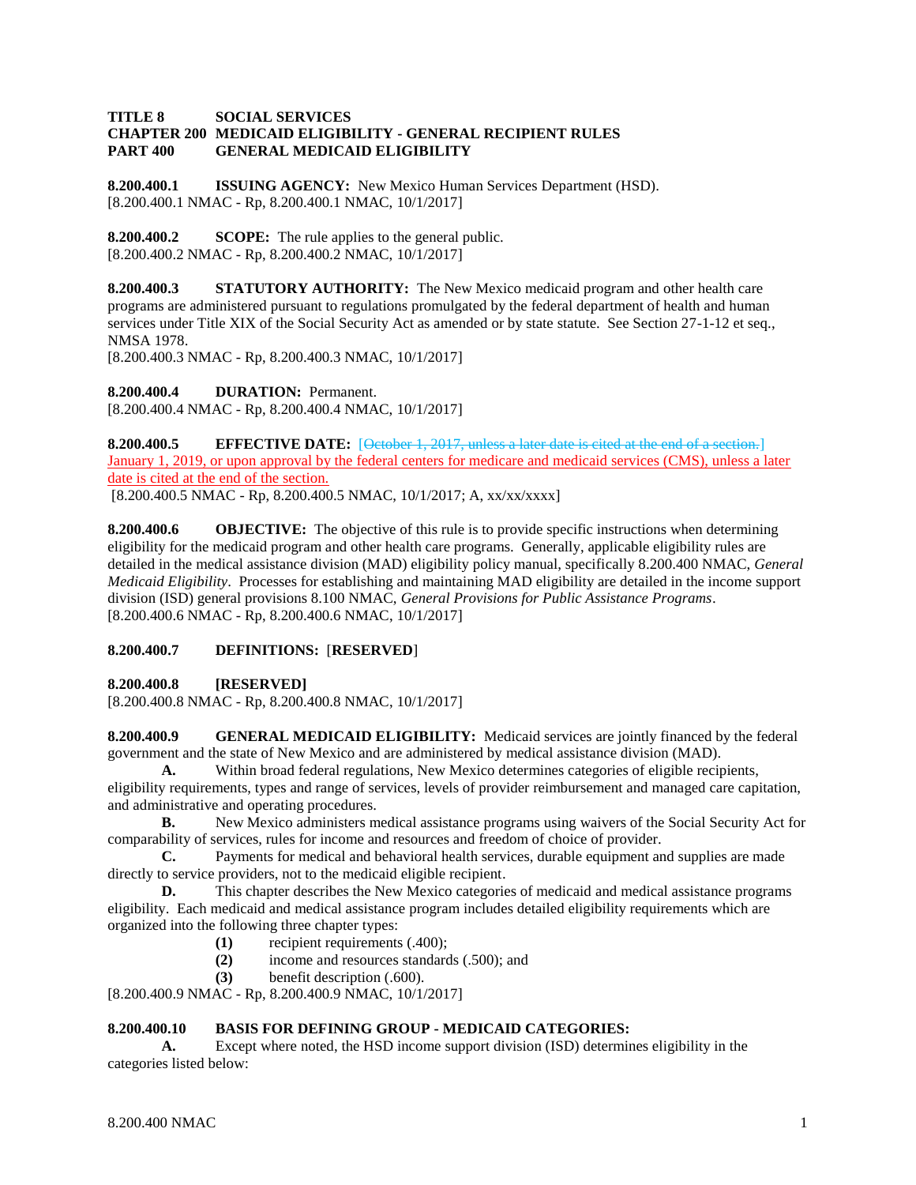### **TITLE 8 SOCIAL SERVICES CHAPTER 200 MEDICAID ELIGIBILITY - GENERAL RECIPIENT RULES PART 400 GENERAL MEDICAID ELIGIBILITY**

**8.200.400.1 ISSUING AGENCY:** New Mexico Human Services Department (HSD). [8.200.400.1 NMAC - Rp, 8.200.400.1 NMAC, 10/1/2017]

**8.200.400.2 SCOPE:** The rule applies to the general public. [8.200.400.2 NMAC - Rp, 8.200.400.2 NMAC, 10/1/2017]

**8.200.400.3 STATUTORY AUTHORITY:** The New Mexico medicaid program and other health care programs are administered pursuant to regulations promulgated by the federal department of health and human services under Title XIX of the Social Security Act as amended or by state statute. See Section 27-1-12 et seq., NMSA 1978.

[8.200.400.3 NMAC - Rp, 8.200.400.3 NMAC, 10/1/2017]

**8.200.400.4 DURATION:** Permanent. [8.200.400.4 NMAC - Rp, 8.200.400.4 NMAC, 10/1/2017]

**8.200.400.5 EFFECTIVE DATE:** [October 1, 2017, unless a later date is cited at the end of a section.] January 1, 2019, or upon approval by the federal centers for medicare and medicaid services (CMS), unless a later date is cited at the end of the section.

[8.200.400.5 NMAC - Rp, 8.200.400.5 NMAC, 10/1/2017; A, xx/xx/xxxx]

**8.200.400.6 OBJECTIVE:** The objective of this rule is to provide specific instructions when determining eligibility for the medicaid program and other health care programs. Generally, applicable eligibility rules are detailed in the medical assistance division (MAD) eligibility policy manual, specifically 8.200.400 NMAC, *General Medicaid Eligibility*. Processes for establishing and maintaining MAD eligibility are detailed in the income support division (ISD) general provisions 8.100 NMAC, *General Provisions for Public Assistance Programs*. [8.200.400.6 NMAC - Rp, 8.200.400.6 NMAC, 10/1/2017]

# **8.200.400.7 DEFINITIONS:** [**RESERVED**]

**8.200.400.8 [RESERVED]**

[8.200.400.8 NMAC - Rp, 8.200.400.8 NMAC, 10/1/2017]

**8.200.400.9 GENERAL MEDICAID ELIGIBILITY:** Medicaid services are jointly financed by the federal government and the state of New Mexico and are administered by medical assistance division (MAD).

**A.** Within broad federal regulations, New Mexico determines categories of eligible recipients, eligibility requirements, types and range of services, levels of provider reimbursement and managed care capitation, and administrative and operating procedures.

**B.** New Mexico administers medical assistance programs using waivers of the Social Security Act for comparability of services, rules for income and resources and freedom of choice of provider.

**C.** Payments for medical and behavioral health services, durable equipment and supplies are made directly to service providers, not to the medicaid eligible recipient.

**D.** This chapter describes the New Mexico categories of medicaid and medical assistance programs eligibility. Each medicaid and medical assistance program includes detailed eligibility requirements which are organized into the following three chapter types:

- **(1)** recipient requirements (.400);
- **(2)** income and resources standards (.500); and
- **(3)** benefit description (.600).

[8.200.400.9 NMAC - Rp, 8.200.400.9 NMAC, 10/1/2017]

# **8.200.400.10 BASIS FOR DEFINING GROUP - MEDICAID CATEGORIES:**

**A.** Except where noted, the HSD income support division (ISD) determines eligibility in the categories listed below: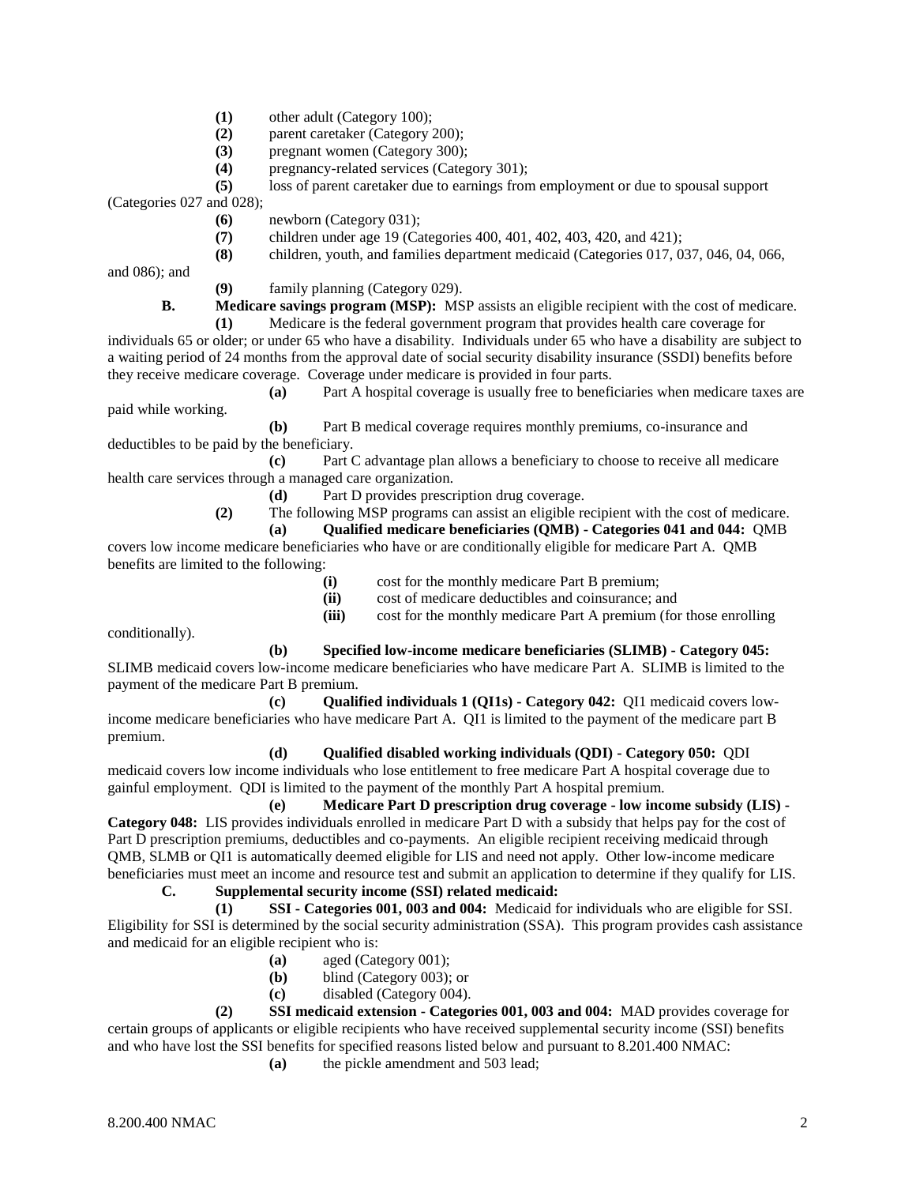- **(1)** other adult (Category 100);
- **(2)** parent caretaker (Category 200);
- **(3)** pregnant women (Category 300);
- **(4)** pregnancy-related services (Category 301);
- **(5)** loss of parent caretaker due to earnings from employment or due to spousal support

(Categories 027 and 028);

- **(6)** newborn (Category 031);
- **(7)** children under age 19 (Categories 400, 401, 402, 403, 420, and 421);
- **(8)** children, youth, and families department medicaid (Categories 017, 037, 046, 04, 066,

and 086); and

**(9)** family planning (Category 029).

**B. Medicare savings program (MSP):** MSP assists an eligible recipient with the cost of medicare.

**(1)** Medicare is the federal government program that provides health care coverage for individuals 65 or older; or under 65 who have a disability. Individuals under 65 who have a disability are subject to a waiting period of 24 months from the approval date of social security disability insurance (SSDI) benefits before they receive medicare coverage. Coverage under medicare is provided in four parts.

**(a)** Part A hospital coverage is usually free to beneficiaries when medicare taxes are paid while working.

**(b)** Part B medical coverage requires monthly premiums, co-insurance and deductibles to be paid by the beneficiary.

**(c)** Part C advantage plan allows a beneficiary to choose to receive all medicare health care services through a managed care organization.

**(d)** Part D provides prescription drug coverage.

**(2)** The following MSP programs can assist an eligible recipient with the cost of medicare.

**(a) Qualified medicare beneficiaries (QMB) - Categories 041 and 044:** QMB

covers low income medicare beneficiaries who have or are conditionally eligible for medicare Part A. QMB benefits are limited to the following:

- **(i)** cost for the monthly medicare Part B premium;
- **(ii)** cost of medicare deductibles and coinsurance; and
- **(iii)** cost for the monthly medicare Part A premium (for those enrolling

conditionally).

**(b) Specified low-income medicare beneficiaries (SLIMB) - Category 045:**

SLIMB medicaid covers low-income medicare beneficiaries who have medicare Part A. SLIMB is limited to the payment of the medicare Part B premium.

**(c) Qualified individuals 1 (QI1s) - Category 042:** QI1 medicaid covers lowincome medicare beneficiaries who have medicare Part A. QI1 is limited to the payment of the medicare part B premium.

### **(d) Qualified disabled working individuals (QDI) - Category 050:** QDI

medicaid covers low income individuals who lose entitlement to free medicare Part A hospital coverage due to gainful employment. QDI is limited to the payment of the monthly Part A hospital premium.

**(e) Medicare Part D prescription drug coverage - low income subsidy (LIS) - Category 048:** LIS provides individuals enrolled in medicare Part D with a subsidy that helps pay for the cost of Part D prescription premiums, deductibles and co-payments. An eligible recipient receiving medicaid through QMB, SLMB or QI1 is automatically deemed eligible for LIS and need not apply. Other low-income medicare beneficiaries must meet an income and resource test and submit an application to determine if they qualify for LIS. **C. Supplemental security income (SSI) related medicaid:**

**(1) SSI - Categories 001, 003 and 004:** Medicaid for individuals who are eligible for SSI. Eligibility for SSI is determined by the social security administration (SSA). This program provides cash assistance and medicaid for an eligible recipient who is:

- **(a)** aged (Category 001);
- **(b)** blind (Category 003); or
- **(c)** disabled (Category 004).

**(2) SSI medicaid extension - Categories 001, 003 and 004:** MAD provides coverage for certain groups of applicants or eligible recipients who have received supplemental security income (SSI) benefits and who have lost the SSI benefits for specified reasons listed below and pursuant to 8.201.400 NMAC:

**(a)** the pickle amendment and 503 lead;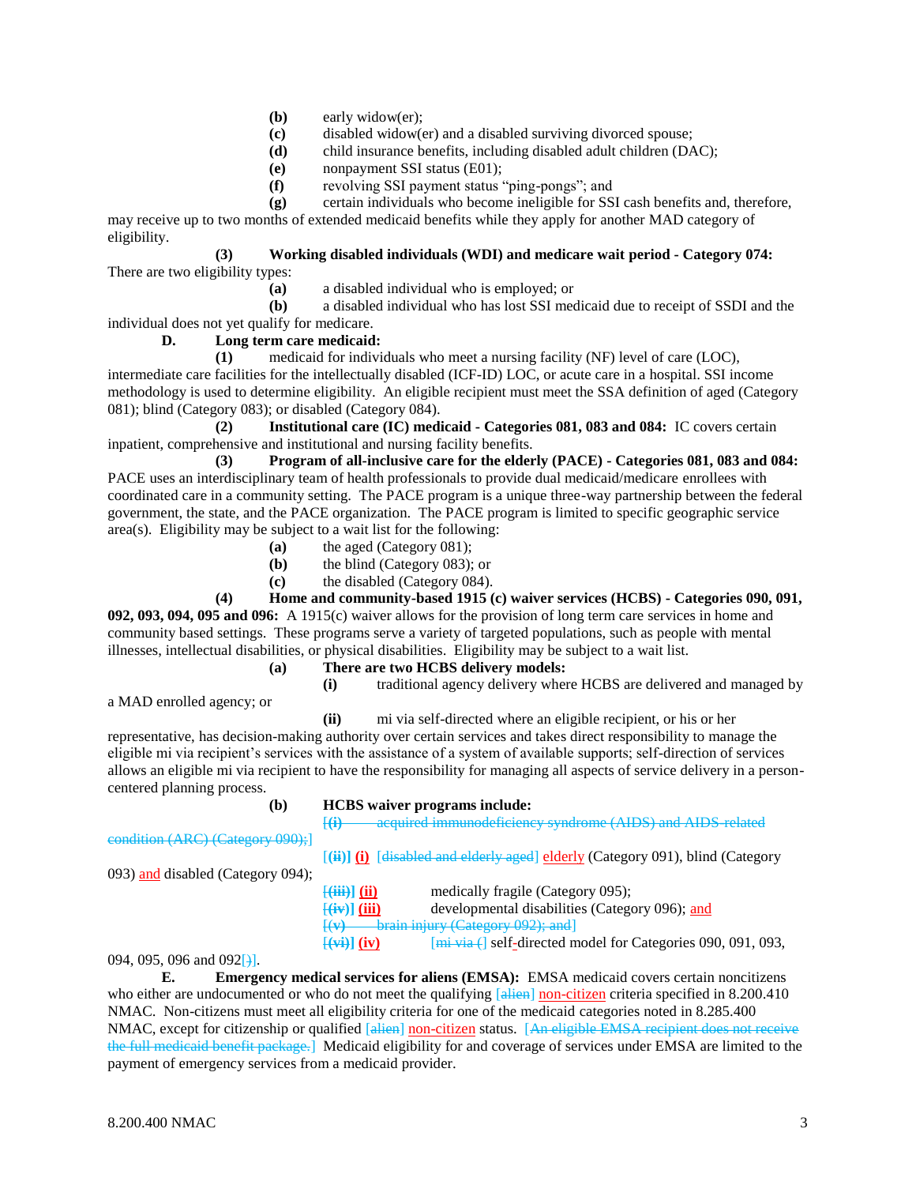- **(b)** early widow(er);
- **(c)** disabled widow(er) and a disabled surviving divorced spouse;
- **(d)** child insurance benefits, including disabled adult children (DAC);
- **(e)** nonpayment SSI status (E01);
- **(f)** revolving SSI payment status "ping-pongs"; and
- **(g)** certain individuals who become ineligible for SSI cash benefits and, therefore,

may receive up to two months of extended medicaid benefits while they apply for another MAD category of eligibility.

**(3) Working disabled individuals (WDI) and medicare wait period - Category 074:** There are two eligibility types:

**(a)** a disabled individual who is employed; or

**(b)** a disabled individual who has lost SSI medicaid due to receipt of SSDI and the individual does not yet qualify for medicare.

# **D. Long term care medicaid:**

**(1)** medicaid for individuals who meet a nursing facility (NF) level of care (LOC), intermediate care facilities for the intellectually disabled (ICF-ID) LOC, or acute care in a hospital. SSI income methodology is used to determine eligibility. An eligible recipient must meet the SSA definition of aged (Category 081); blind (Category 083); or disabled (Category 084).

**(2) Institutional care (IC) medicaid - Categories 081, 083 and 084:** IC covers certain inpatient, comprehensive and institutional and nursing facility benefits.

**(3) Program of all-inclusive care for the elderly (PACE) - Categories 081, 083 and 084:** PACE uses an interdisciplinary team of health professionals to provide dual medicaid/medicare enrollees with coordinated care in a community setting. The PACE program is a unique three-way partnership between the federal government, the state, and the PACE organization. The PACE program is limited to specific geographic service area(s). Eligibility may be subject to a wait list for the following:

- **(a)** the aged (Category 081);
- **(b)** the blind (Category 083); or
- **(c)** the disabled (Category 084).

**(4) Home and community-based 1915 (c) waiver services (HCBS) - Categories 090, 091, 092, 093, 094, 095 and 096:** A 1915(c) waiver allows for the provision of long term care services in home and community based settings. These programs serve a variety of targeted populations, such as people with mental illnesses, intellectual disabilities, or physical disabilities. Eligibility may be subject to a wait list.

### **(a) There are two HCBS delivery models: (i)** traditional agency delivery where HCBS are delivered and managed by

**(b) HCBS waiver programs include:**

a MAD enrolled agency; or

**(ii)** mi via self-directed where an eligible recipient, or his or her representative, has decision-making authority over certain services and takes direct responsibility to manage the eligible mi via recipient's services with the assistance of a system of available supports; self-direction of services allows an eligible mi via recipient to have the responsibility for managing all aspects of service delivery in a personcentered planning process.

condition (ARC) (Category 090);]

[**(i)** acquired immunodeficiency syndrome (AIDS) and AIDS-related

[**(ii)] (i)** [disabled and elderly aged] elderly (Category 091), blind (Category

093) and disabled (Category 094);

- 
- [**(iii)] (ii)** medically fragile (Category 095);

[**(iv)] (iii)** developmental disabilities (Category 096); and

[(**v)** brain injury (Category 092); and]

 $[\overline{w_i}][iv]$   $[\overline{m_i} \overline{v_i} \overline{w_i}]$  self-directed model for Categories 090, 091, 093,

094, 095, 096 and 092[)].

**E. Emergency medical services for aliens (EMSA):** EMSA medicaid covers certain noncitizens who either are undocumented or who do not meet the qualifying [alien] non-citizen criteria specified in 8.200.410 NMAC. Non-citizens must meet all eligibility criteria for one of the medicaid categories noted in 8.285.400 NMAC, except for citizenship or qualified [alien] non-citizen status. [An eligible EMSA recipient does the full medicaid benefit package.] Medicaid eligibility for and coverage of services under EMSA are limited to the payment of emergency services from a medicaid provider.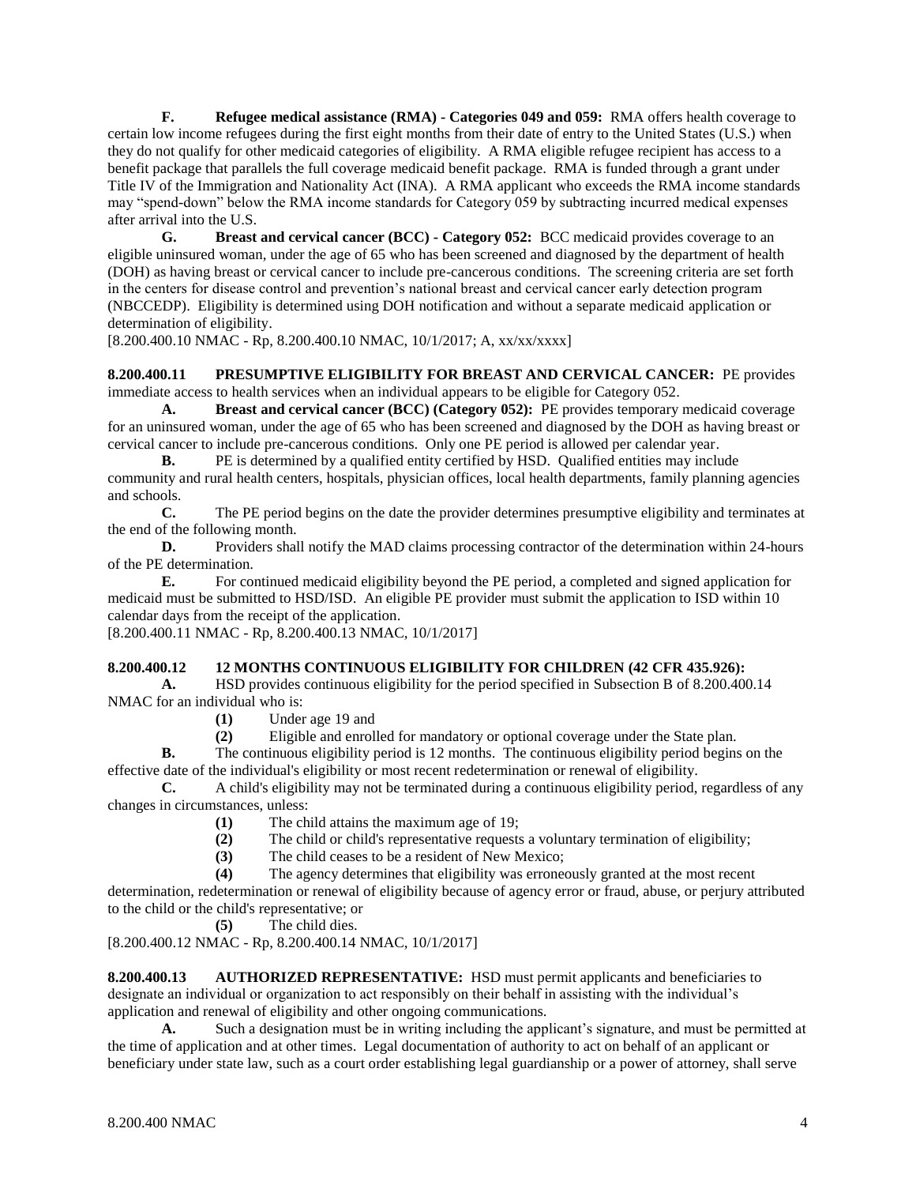**F. Refugee medical assistance (RMA) - Categories 049 and 059:** RMA offers health coverage to certain low income refugees during the first eight months from their date of entry to the United States (U.S.) when they do not qualify for other medicaid categories of eligibility. A RMA eligible refugee recipient has access to a benefit package that parallels the full coverage medicaid benefit package. RMA is funded through a grant under Title IV of the Immigration and Nationality Act (INA). A RMA applicant who exceeds the RMA income standards may "spend-down" below the RMA income standards for Category 059 by subtracting incurred medical expenses after arrival into the U.S.

**G. Breast and cervical cancer (BCC) - Category 052:** BCC medicaid provides coverage to an eligible uninsured woman, under the age of 65 who has been screened and diagnosed by the department of health (DOH) as having breast or cervical cancer to include pre-cancerous conditions. The screening criteria are set forth in the centers for disease control and prevention's national breast and cervical cancer early detection program (NBCCEDP). Eligibility is determined using DOH notification and without a separate medicaid application or determination of eligibility.

[8.200.400.10 NMAC - Rp, 8.200.400.10 NMAC, 10/1/2017; A, xx/xx/xxxx]

# **8.200.400.11 PRESUMPTIVE ELIGIBILITY FOR BREAST AND CERVICAL CANCER:** PE provides

immediate access to health services when an individual appears to be eligible for Category 052.

**A. Breast and cervical cancer (BCC) (Category 052):** PE provides temporary medicaid coverage for an uninsured woman, under the age of 65 who has been screened and diagnosed by the DOH as having breast or cervical cancer to include pre-cancerous conditions. Only one PE period is allowed per calendar year.

**B.** PE is determined by a qualified entity certified by HSD. Qualified entities may include community and rural health centers, hospitals, physician offices, local health departments, family planning agencies and schools.<br> $C$ .

**C.** The PE period begins on the date the provider determines presumptive eligibility and terminates at the end of the following month.

**D.** Providers shall notify the MAD claims processing contractor of the determination within 24-hours of the PE determination.

**E.** For continued medicaid eligibility beyond the PE period, a completed and signed application for medicaid must be submitted to HSD/ISD. An eligible PE provider must submit the application to ISD within 10 calendar days from the receipt of the application.

[8.200.400.11 NMAC - Rp, 8.200.400.13 NMAC, 10/1/2017]

# **8.200.400.12 12 MONTHS CONTINUOUS ELIGIBILITY FOR CHILDREN (42 CFR 435.926):**

**A.** HSD provides continuous eligibility for the period specified in Subsection B of 8.200.400.14 NMAC for an individual who is:

- **(1)** Under age 19 and
- **(2)** Eligible and enrolled for mandatory or optional coverage under the State plan.

**B.** The continuous eligibility period is 12 months. The continuous eligibility period begins on the effective date of the individual's eligibility or most recent redetermination or renewal of eligibility.

**C.** A child's eligibility may not be terminated during a continuous eligibility period, regardless of any changes in circumstances, unless:

- **(1)** The child attains the maximum age of 19;
- **(2)** The child or child's representative requests a voluntary termination of eligibility;
- **(3)** The child ceases to be a resident of New Mexico;
- **(4)** The agency determines that eligibility was erroneously granted at the most recent

determination, redetermination or renewal of eligibility because of agency error or fraud, abuse, or perjury attributed to the child or the child's representative; or

**(5)** The child dies.

[8.200.400.12 NMAC - Rp, 8.200.400.14 NMAC, 10/1/2017]

**8.200.400.13 AUTHORIZED REPRESENTATIVE:** HSD must permit applicants and beneficiaries to designate an individual or organization to act responsibly on their behalf in assisting with the individual's application and renewal of eligibility and other ongoing communications.

**A.** Such a designation must be in writing including the applicant's signature, and must be permitted at the time of application and at other times. Legal documentation of authority to act on behalf of an applicant or beneficiary under state law, such as a court order establishing legal guardianship or a power of attorney, shall serve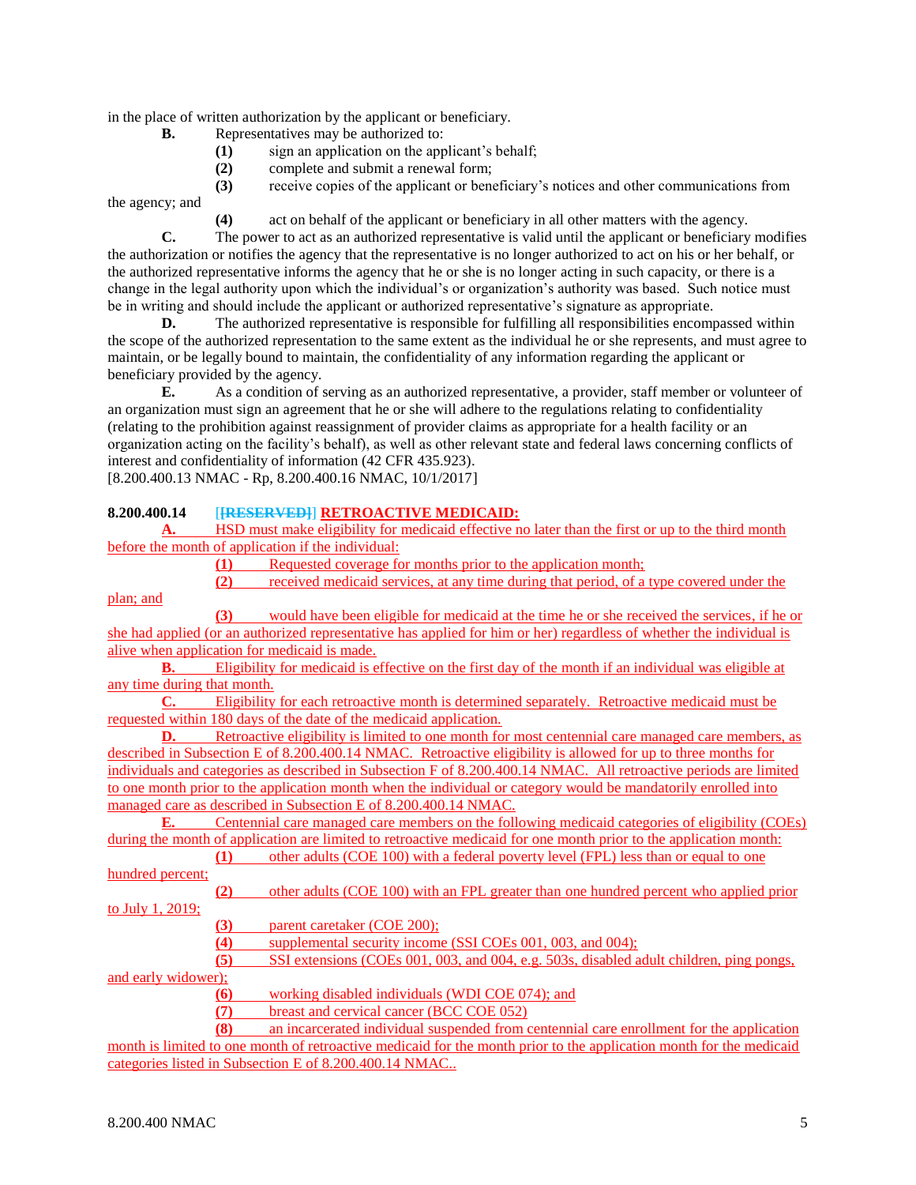in the place of written authorization by the applicant or beneficiary.

- **B.** Representatives may be authorized to:
	- **(1)** sign an application on the applicant's behalf;
	- **(2)** complete and submit a renewal form;

**(3)** receive copies of the applicant or beneficiary's notices and other communications from the agency; and

**(4)** act on behalf of the applicant or beneficiary in all other matters with the agency.

**C.** The power to act as an authorized representative is valid until the applicant or beneficiary modifies the authorization or notifies the agency that the representative is no longer authorized to act on his or her behalf, or the authorized representative informs the agency that he or she is no longer acting in such capacity, or there is a change in the legal authority upon which the individual's or organization's authority was based. Such notice must be in writing and should include the applicant or authorized representative's signature as appropriate.

**D.** The authorized representative is responsible for fulfilling all responsibilities encompassed within the scope of the authorized representation to the same extent as the individual he or she represents, and must agree to maintain, or be legally bound to maintain, the confidentiality of any information regarding the applicant or beneficiary provided by the agency.

**E.** As a condition of serving as an authorized representative, a provider, staff member or volunteer of an organization must sign an agreement that he or she will adhere to the regulations relating to confidentiality (relating to the prohibition against reassignment of provider claims as appropriate for a health facility or an organization acting on the facility's behalf), as well as other relevant state and federal laws concerning conflicts of interest and confidentiality of information (42 CFR 435.923). [8.200.400.13 NMAC - Rp, 8.200.400.16 NMAC, 10/1/2017]

# **8.200.400.14** [**[RESERVED]**] **RETROACTIVE MEDICAID:**

**A.** HSD must make eligibility for medicaid effective no later than the first or up to the third month before the month of application if the individual:

**(1)** Requested coverage for months prior to the application month;

**(2)** received medicaid services, at any time during that period, of a type covered under the

**(3)** would have been eligible for medicaid at the time he or she received the services, if he or she had applied (or an authorized representative has applied for him or her) regardless of whether the individual is alive when application for medicaid is made.

**B.** Eligibility for medicaid is effective on the first day of the month if an individual was eligible at any time during that month.<br> **C.** Eligibility

**C.** Eligibility for each retroactive month is determined separately. Retroactive medicaid must be requested within 180 days of the date of the medicaid application.

**D.** Retroactive eligibility is limited to one month for most centennial care managed care members, as described in Subsection E of 8.200.400.14 NMAC. Retroactive eligibility is allowed for up to three months for individuals and categories as described in Subsection F of 8.200.400.14 NMAC. All retroactive periods are limited to one month prior to the application month when the individual or category would be mandatorily enrolled into managed care as described in Subsection E of 8.200.400.14 NMAC.

**E.** Centennial care managed care members on the following medicaid categories of eligibility (COEs) during the month of application are limited to retroactive medicaid for one month prior to the application month:

**(1)** other adults (COE 100) with a federal poverty level (FPL) less than or equal to one hundred percent;

**(2)** other adults (COE 100) with an FPL greater than one hundred percent who applied prior to July 1, 2019;

**(3)** parent caretaker (COE 200);

**(4)** supplemental security income (SSI COEs 001, 003, and 004);

**(5)** SSI extensions (COEs 001, 003, and 004, e.g. 503s, disabled adult children, ping pongs, and early widower);

**(6)** working disabled individuals (WDI COE 074); and

**(7)** breast and cervical cancer (BCC COE 052)

**(8)** an incarcerated individual suspended from centennial care enrollment for the application month is limited to one month of retroactive medicaid for the month prior to the application month for the medicaid categories listed in Subsection E of 8.200.400.14 NMAC..

plan; and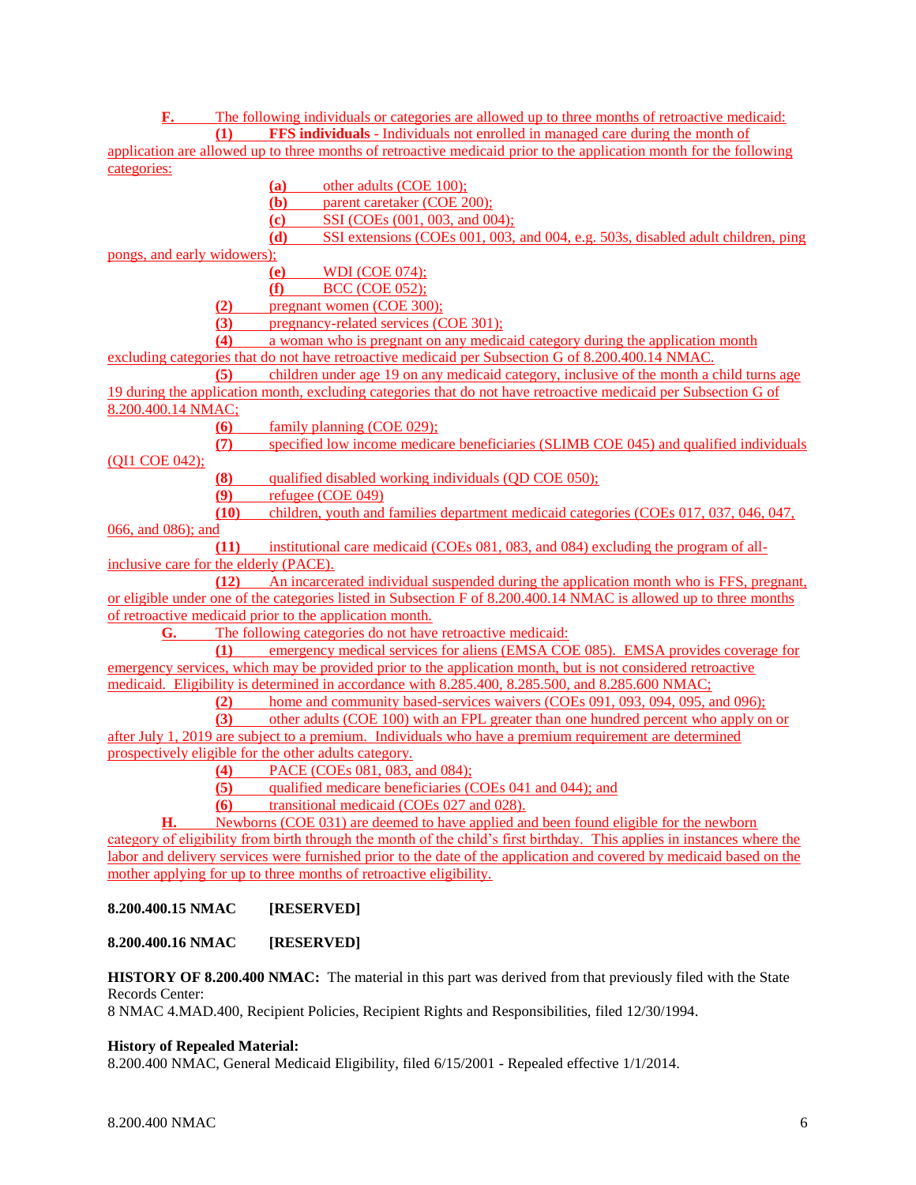**F.** The following individuals or categories are allowed up to three months of retroactive medicaid: **(1) FFS individuals** - Individuals not enrolled in managed care during the month of

application are allowed up to three months of retroactive medicaid prior to the application month for the following categories:

**(a)** other adults (COE 100);

**(b)** parent caretaker (COE 200);

**(c)** SSI (COEs (001, 003, and 004);

**(d)** SSI extensions (COEs 001, 003, and 004, e.g. 503s, disabled adult children, ping

pongs, and early widowers);

**(e)** WDI (COE 074);

**(f)** BCC (COE 052);

**(2)** pregnant women (COE 300);

**(3)** pregnancy-related services (COE 301);

**(4)** a woman who is pregnant on any medicaid category during the application month excluding categories that do not have retroactive medicaid per Subsection G of 8.200.400.14 NMAC.

**(5)** children under age 19 on any medicaid category, inclusive of the month a child turns age 19 during the application month, excluding categories that do not have retroactive medicaid per Subsection G of 8.200.400.14 NMAC;

**(6)** family planning (COE 029);

**(7)** specified low income medicare beneficiaries (SLIMB COE 045) and qualified individuals (QI1 COE 042);

**(8)** qualified disabled working individuals (QD COE 050);

- **(9)** refugee (COE 049)
- **(10)** children, youth and families department medicaid categories (COEs 017, 037, 046, 047,

066, and 086); and

**(11)** institutional care medicaid (COEs 081, 083, and 084) excluding the program of allinclusive care for the elderly (PACE).

**(12)** An incarcerated individual suspended during the application month who is FFS, pregnant, or eligible under one of the categories listed in Subsection F of 8.200.400.14 NMAC is allowed up to three months of retroactive medicaid prior to the application month.

**G.** The following categories do not have retroactive medicaid:

**(1)** emergency medical services for aliens (EMSA COE 085). EMSA provides coverage for emergency services, which may be provided prior to the application month, but is not considered retroactive

medicaid. Eligibility is determined in accordance with 8.285.400, 8.285.500, and 8.285.600 NMAC;<br>(2) home and community based-services waivers (COEs 091, 093, 094, 095 and **(2)** home and community based-services waivers (COEs 091, 093, 094, 095, and 096);

**(3)** other adults (COE 100) with an FPL greater than one hundred percent who apply on or after July 1, 2019 are subject to a premium. Individuals who have a premium requirement are determined prospectively eligible for the other adults category.

- **(4)** PACE (COEs 081, 083, and 084);
- **(5)** qualified medicare beneficiaries (COEs 041 and 044); and
- **(6)** transitional medicaid (COEs 027 and 028).

**H.** Newborns (COE 031) are deemed to have applied and been found eligible for the newborn category of eligibility from birth through the month of the child's first birthday. This applies in instances where the labor and delivery services were furnished prior to the date of the application and covered by medicaid based on the mother applying for up to three months of retroactive eligibility.

# **8.200.400.15 NMAC [RESERVED]**

# **8.200.400.16 NMAC [RESERVED]**

**HISTORY OF 8.200.400 NMAC:** The material in this part was derived from that previously filed with the State Records Center:

8 NMAC 4.MAD.400, Recipient Policies, Recipient Rights and Responsibilities, filed 12/30/1994.

# **History of Repealed Material:**

8.200.400 NMAC, General Medicaid Eligibility, filed 6/15/2001 - Repealed effective 1/1/2014.